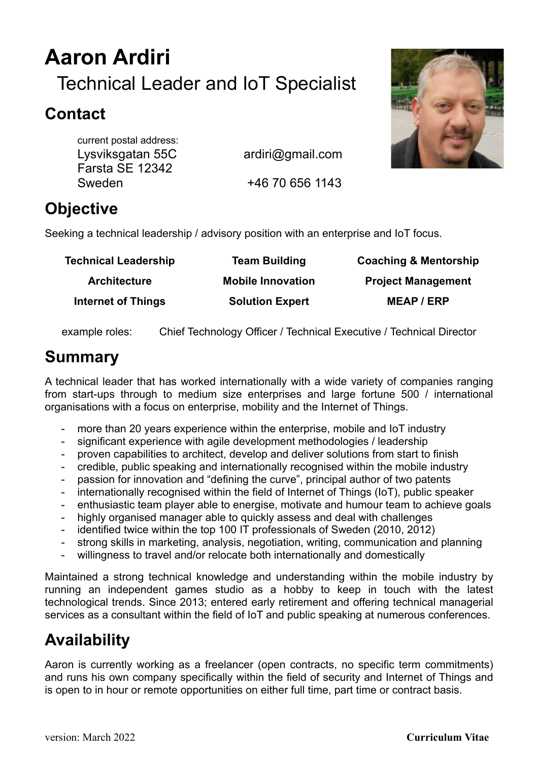# **Aaron Ardiri** Technical Leader and IoT Specialist

## **Contact**

current postal address: Lysviksgatan 55C ardiri@gmail.com Farsta SE 12342 Sweden +46 70 656 1143

## **Objective**

Seeking a technical leadership / advisory position with an enterprise and IoT focus.

| <b>Team Building</b>     | <b>Coaching &amp; Mentorship</b> |
|--------------------------|----------------------------------|
| <b>Mobile Innovation</b> | <b>Project Management</b>        |
| <b>Solution Expert</b>   | <b>MEAP/ERP</b>                  |
|                          |                                  |

example roles: Chief Technology Officer / Technical Executive / Technical Director

## **Summary**

A technical leader that has worked internationally with a wide variety of companies ranging from start-ups through to medium size enterprises and large fortune 500 / international organisations with a focus on enterprise, mobility and the Internet of Things.

- more than 20 years experience within the enterprise, mobile and IoT industry
- significant experience with agile development methodologies / leadership
- proven capabilities to architect, develop and deliver solutions from start to finish
- credible, public speaking and internationally recognised within the mobile industry
- passion for innovation and "defining the curve", principal author of two patents
- internationally recognised within the field of Internet of Things (IoT), public speaker
- enthusiastic team player able to energise, motivate and humour team to achieve goals
- highly organised manager able to quickly assess and deal with challenges
- identified twice within the top 100 IT professionals of Sweden (2010, 2012)
- strong skills in marketing, analysis, negotiation, writing, communication and planning
- willingness to travel and/or relocate both internationally and domestically

Maintained a strong technical knowledge and understanding within the mobile industry by running an independent games studio as a hobby to keep in touch with the latest technological trends. Since 2013; entered early retirement and offering technical managerial services as a consultant within the field of IoT and public speaking at numerous conferences.

## **Availability**

Aaron is currently working as a freelancer (open contracts, no specific term commitments) and runs his own company specifically within the field of security and Internet of Things and is open to in hour or remote opportunities on either full time, part time or contract basis.

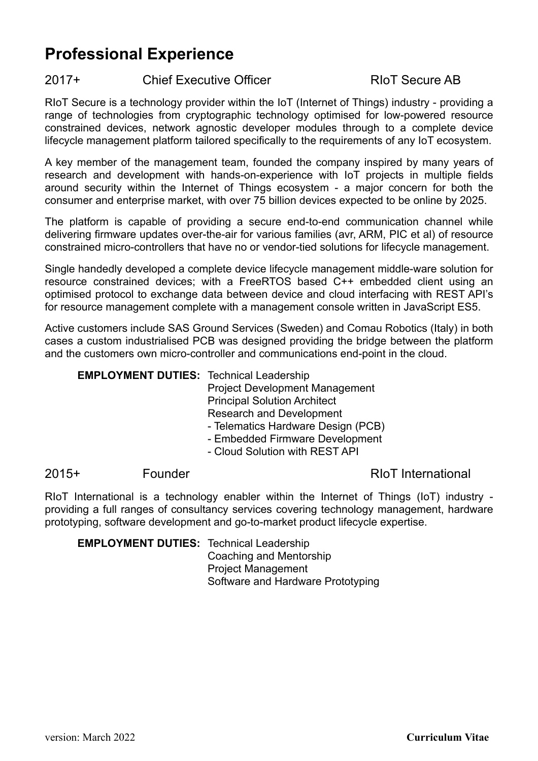## **Professional Experience**

### 2017+ Chief Executive Officer RIoT Secure AB

RIoT Secure is a technology provider within the IoT (Internet of Things) industry - providing a range of technologies from cryptographic technology optimised for low-powered resource constrained devices, network agnostic developer modules through to a complete device lifecycle management platform tailored specifically to the requirements of any IoT ecosystem.

A key member of the management team, founded the company inspired by many years of research and development with hands-on-experience with IoT projects in multiple fields around security within the Internet of Things ecosystem - a major concern for both the consumer and enterprise market, with over 75 billion devices expected to be online by 2025.

The platform is capable of providing a secure end-to-end communication channel while delivering firmware updates over-the-air for various families (avr, ARM, PIC et al) of resource constrained micro-controllers that have no or vendor-tied solutions for lifecycle management.

Single handedly developed a complete device lifecycle management middle-ware solution for resource constrained devices; with a FreeRTOS based C++ embedded client using an optimised protocol to exchange data between device and cloud interfacing with REST API's for resource management complete with a management console written in JavaScript ES5.

Active customers include SAS Ground Services (Sweden) and Comau Robotics (Italy) in both cases a custom industrialised PCB was designed providing the bridge between the platform and the customers own micro-controller and communications end-point in the cloud.

#### **EMPLOYMENT DUTIES:** Technical Leadership

Project Development Management Principal Solution Architect Research and Development

- Telematics Hardware Design (PCB)
- Embedded Firmware Development
- Cloud Solution with REST API

#### 2015+ Founder Founder RIoT International

RIoT International is a technology enabler within the Internet of Things (IoT) industry providing a full ranges of consultancy services covering technology management, hardware prototyping, software development and go-to-market product lifecycle expertise.

**EMPLOYMENT DUTIES:** Technical Leadership Coaching and Mentorship Project Management Software and Hardware Prototyping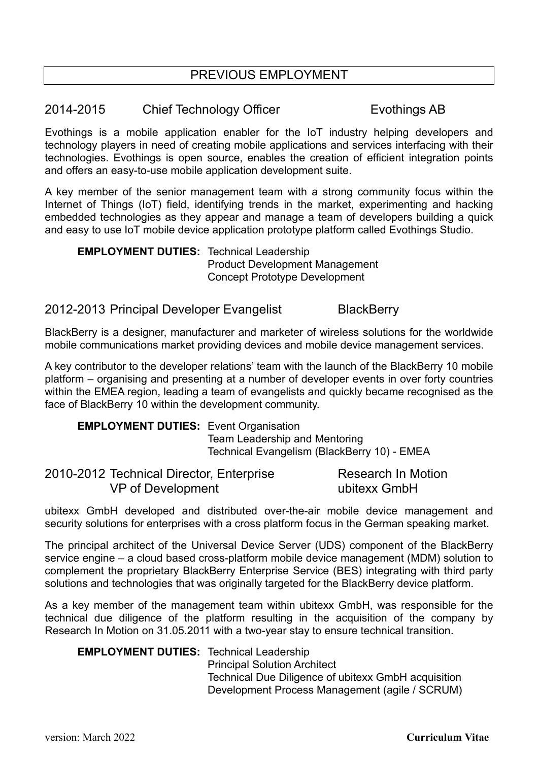### PREVIOUS EMPLOYMENT

#### 2014-2015 Chief Technology Officer Evothings AB

Evothings is a mobile application enabler for the IoT industry helping developers and technology players in need of creating mobile applications and services interfacing with their technologies. Evothings is open source, enables the creation of efficient integration points and offers an easy-to-use mobile application development suite.

A key member of the senior management team with a strong community focus within the Internet of Things (IoT) field, identifying trends in the market, experimenting and hacking embedded technologies as they appear and manage a team of developers building a quick and easy to use IoT mobile device application prototype platform called Evothings Studio.

**EMPLOYMENT DUTIES:** Technical Leadership Product Development Management Concept Prototype Development

### 2012-2013 Principal Developer Evangelist BlackBerry

BlackBerry is a designer, manufacturer and marketer of wireless solutions for the worldwide mobile communications market providing devices and mobile device management services.

A key contributor to the developer relations' team with the launch of the BlackBerry 10 mobile platform – organising and presenting at a number of developer events in over forty countries within the EMEA region, leading a team of evangelists and quickly became recognised as the face of BlackBerry 10 within the development community.

**EMPLOYMENT DUTIES:** Event Organisation Team Leadership and Mentoring Technical Evangelism (BlackBerry 10) - EMEA

| 2010-2012 Technical Director, Enterprise | Research In Motion |
|------------------------------------------|--------------------|
| VP of Development                        | ubitexx GmbH       |

ubitexx GmbH developed and distributed over-the-air mobile device management and security solutions for enterprises with a cross platform focus in the German speaking market.

The principal architect of the Universal Device Server (UDS) component of the BlackBerry service engine – a cloud based cross-platform mobile device management (MDM) solution to complement the proprietary BlackBerry Enterprise Service (BES) integrating with third party solutions and technologies that was originally targeted for the BlackBerry device platform.

As a key member of the management team within ubitexx GmbH, was responsible for the technical due diligence of the platform resulting in the acquisition of the company by Research In Motion on 31.05.2011 with a two-year stay to ensure technical transition.

#### **EMPLOYMENT DUTIES:** Technical Leadership

Principal Solution Architect Technical Due Diligence of ubitexx GmbH acquisition Development Process Management (agile / SCRUM)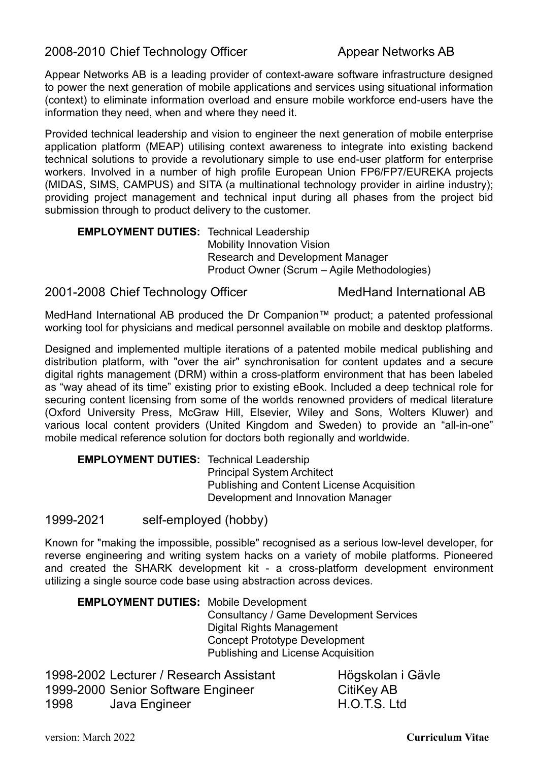2008-2010 Chief Technology Officer Appear Networks AB

Appear Networks AB is a leading provider of context-aware software infrastructure designed to power the next generation of mobile applications and services using situational information (context) to eliminate information overload and ensure mobile workforce end-users have the information they need, when and where they need it.

Provided technical leadership and vision to engineer the next generation of mobile enterprise application platform (MEAP) utilising context awareness to integrate into existing backend technical solutions to provide a revolutionary simple to use end-user platform for enterprise workers. Involved in a number of high profile European Union FP6/FP7/EUREKA projects (MIDAS, SIMS, CAMPUS) and SITA (a multinational technology provider in airline industry); providing project management and technical input during all phases from the project bid submission through to product delivery to the customer.

**EMPLOYMENT DUTIES:** Technical Leadership Mobility Innovation Vision Research and Development Manager Product Owner (Scrum – Agile Methodologies)

### 2001-2008 Chief Technology Officer MedHand International AB

MedHand International AB produced the Dr Companion™ product; a patented professional working tool for physicians and medical personnel available on mobile and desktop platforms.

Designed and implemented multiple iterations of a patented mobile medical publishing and distribution platform, with "over the air" synchronisation for content updates and a secure digital rights management (DRM) within a cross-platform environment that has been labeled as "way ahead of its time" existing prior to existing eBook. Included a deep technical role for securing content licensing from some of the worlds renowned providers of medical literature (Oxford University Press, McGraw Hill, Elsevier, Wiley and Sons, Wolters Kluwer) and various local content providers (United Kingdom and Sweden) to provide an "all-in-one" mobile medical reference solution for doctors both regionally and worldwide.

**EMPLOYMENT DUTIES:** Technical Leadership Principal System Architect Publishing and Content License Acquisition Development and Innovation Manager

1999-2021 self-employed (hobby)

Known for "making the impossible, possible" recognised as a serious low-level developer, for reverse engineering and writing system hacks on a variety of mobile platforms. Pioneered and created the SHARK development kit - a cross-platform development environment utilizing a single source code base using abstraction across devices.

**EMPLOYMENT DUTIES:** Mobile Development Consultancy / Game Development Services Digital Rights Management Concept Prototype Development Publishing and License Acquisition

1998-2002 Lecturer / Research Assistant Högskolan i Gävle 1999-2000 Senior Software Engineer CitiKey AB 1998 Java Engineer H.O.T.S. Ltd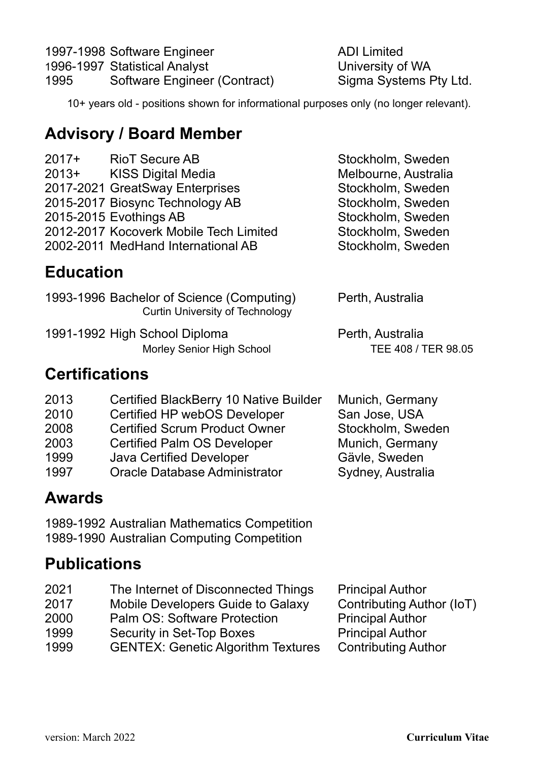|      | 1997-1998 Software Engineer   | <b>ADI Limited</b>     |
|------|-------------------------------|------------------------|
|      | 1996-1997 Statistical Analyst | University of WA       |
| 1995 | Software Engineer (Contract)  | Sigma Systems Pty Ltd. |

Stockholm, Sweden Melbourne, Australia Stockholm, Sweden Stockholm, Sweden Stockholm, Sweden Stockholm, Sweden Stockholm, Sweden

10+ years old - positions shown for informational purposes only (no longer relevant).

## **Advisory / Board Member**

| $2017+$ | <b>RioT Secure AB</b>                  |
|---------|----------------------------------------|
| $2013+$ | <b>KISS Digital Media</b>              |
|         | 2017-2021 GreatSway Enterprises        |
|         | 2015-2017 Biosync Technology AB        |
|         | 2015-2015 Evothings AB                 |
|         | 2012-2017 Kocoverk Mobile Tech Limited |
|         | 2002-2011 MedHand International AB     |

**Education** 

| 1993-1996 Bachelor of Science (Computing)<br><b>Curtin University of Technology</b> | Perth, Australia    |
|-------------------------------------------------------------------------------------|---------------------|
| 1991-1992 High School Diploma                                                       | Perth, Australia    |
| Morley Senior High School                                                           | TEE 408 / TER 98.05 |

## **Certifications**

- 2013 Certified BlackBerry 10 Native Builder Munich, Germany
- 2010 Certified HP webOS Developer San Jose, USA
- 2008 Certified Scrum Product Owner Stockholm, Sweden
- 2003 Certified Palm OS Developer Munich, Germany
- 
- 1999 Java Certified Developer Gävle, Sweden<br>1997 Oracle Database Administrator Sydney, Australia 1997 Oracle Database Administrator

## **Awards**

1989-1992 Australian Mathematics Competition 1989-1990 Australian Computing Competition

## **Publications**

| 2021 | The Internet of Disconnected Things       | <b>Principal Author</b>    |
|------|-------------------------------------------|----------------------------|
| 2017 | Mobile Developers Guide to Galaxy         | Contributing Author (IoT)  |
| 2000 | Palm OS: Software Protection              | <b>Principal Author</b>    |
| 1999 | Security in Set-Top Boxes                 | <b>Principal Author</b>    |
| 1999 | <b>GENTEX: Genetic Algorithm Textures</b> | <b>Contributing Author</b> |

version: March 2022 **Curriculum Vitae**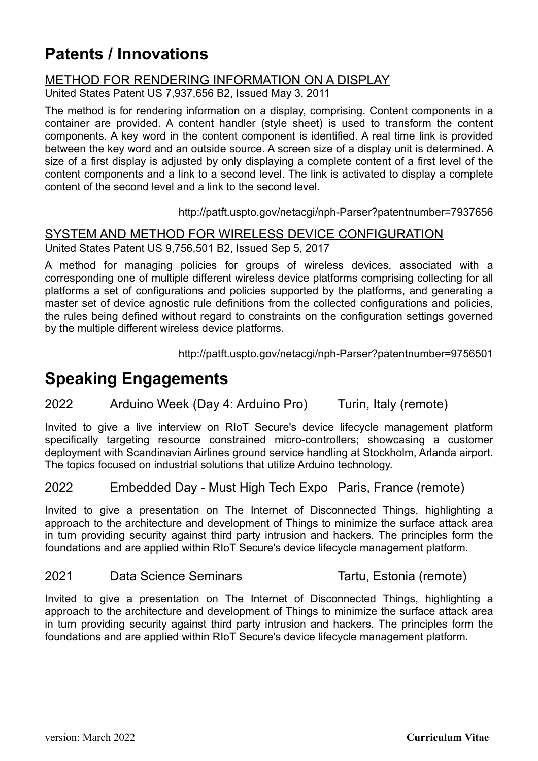## **Patents / Innovations**

### METHOD FOR RENDERING INFORMATION ON A DISPLAY

United States Patent US 7,937,656 B2, Issued May 3, 2011

The method is for rendering information on a display, comprising. Content components in a container are provided. A content handler (style sheet) is used to transform the content components. A key word in the content component is identified. A real time link is provided between the key word and an outside source. A screen size of a display unit is determined. A size of a first display is adjusted by only displaying a complete content of a first level of the content components and a link to a second level. The link is activated to display a complete content of the second level and a link to the second level.

<http://patft.uspto.gov/netacgi/nph-Parser?patentnumber=7937656>

### SYSTEM AND METHOD FOR WIRELESS DEVICE CONFIGURATION

United States Patent US 9,756,501 B2, Issued Sep 5, 2017

A method for managing policies for groups of wireless devices, associated with a corresponding one of multiple different wireless device platforms comprising collecting for all platforms a set of configurations and policies supported by the platforms, and generating a master set of device agnostic rule definitions from the collected configurations and policies, the rules being defined without regard to constraints on the configuration settings governed by the multiple different wireless device platforms.

http://patft.uspto.gov/netacgi/nph-Parser?patentnumber=9756501

## **Speaking Engagements**

#### 2022 Arduino Week (Day 4: Arduino Pro) Turin, Italy (remote)

Invited to give a live interview on RIoT Secure's device lifecycle management platform specifically targeting resource constrained micro-controllers; showcasing a customer deployment with Scandinavian Airlines ground service handling at Stockholm, Arlanda airport. The topics focused on industrial solutions that utilize Arduino technology.

### 2022 Embedded Day - Must High Tech Expo Paris, France (remote)

Invited to give a presentation on The Internet of Disconnected Things, highlighting a approach to the architecture and development of Things to minimize the surface attack area in turn providing security against third party intrusion and hackers. The principles form the foundations and are applied within RIoT Secure's device lifecycle management platform.

#### 2021 Data Science Seminars Tartu, Estonia (remote)

Invited to give a presentation on The Internet of Disconnected Things, highlighting a approach to the architecture and development of Things to minimize the surface attack area in turn providing security against third party intrusion and hackers. The principles form the foundations and are applied within RIoT Secure's device lifecycle management platform.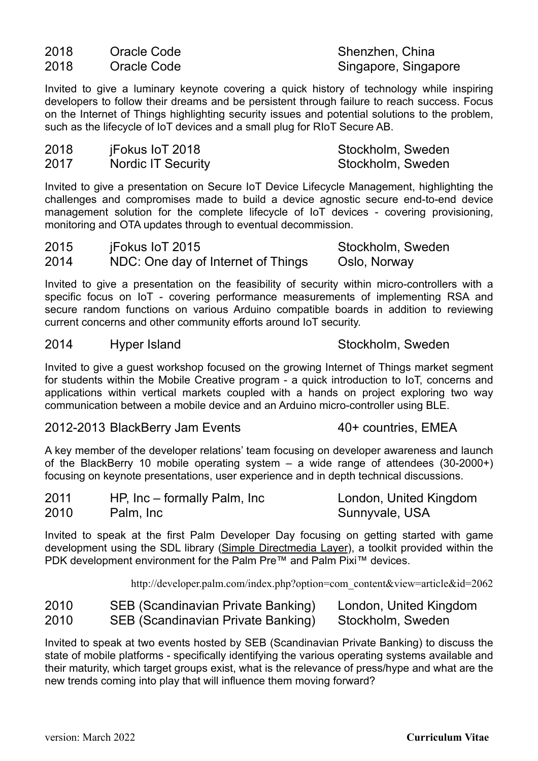2018 Oracle Code Shenzhen, China

2018 Oracle Code Singapore, Singapore, Singapore

Invited to give a luminary keynote covering a quick history of technology while inspiring developers to follow their dreams and be persistent through failure to reach success. Focus on the Internet of Things highlighting security issues and potential solutions to the problem, such as the lifecycle of IoT devices and a small plug for RIoT Secure AB.

| 2018 | jFokus loT 2018           | Stockholm, Sweden |
|------|---------------------------|-------------------|
| 2017 | <b>Nordic IT Security</b> | Stockholm, Sweden |

Invited to give a presentation on Secure IoT Device Lifecycle Management, highlighting the challenges and compromises made to build a device agnostic secure end-to-end device management solution for the complete lifecycle of IoT devices - covering provisioning, monitoring and OTA updates through to eventual decommission.

2015 iFokus IoT 2015 Stockholm, Sweden 2014 NDC: One day of Internet of Things Oslo, Norway

Invited to give a presentation on the feasibility of security within micro-controllers with a specific focus on IoT - covering performance measurements of implementing RSA and secure random functions on various Arduino compatible boards in addition to reviewing current concerns and other community efforts around IoT security.

#### 2014 Hyper Island Stockholm, Sweden

Invited to give a guest workshop focused on the growing Internet of Things market segment for students within the Mobile Creative program - a quick introduction to IoT, concerns and applications within vertical markets coupled with a hands on project exploring two way communication between a mobile device and an Arduino micro-controller using BLE.

### 2012-2013 BlackBerry Jam Events 40+ countries, EMEA

A key member of the developer relations' team focusing on developer awareness and launch of the BlackBerry 10 mobile operating system – a wide range of attendees (30-2000+) focusing on keynote presentations, user experience and in depth technical discussions.

| 2011 | HP, Inc – formally Palm, Inc | London, United Kingdom |
|------|------------------------------|------------------------|
| 2010 | Palm, Inc                    | Sunnyvale, USA         |

Invited to speak at the first Palm Developer Day focusing on getting started with game development using the SDL library [\(Simple Directmedia Layer\)](http://libsdl.org), a toolkit provided within the PDK development environment for the Palm Pre™ and Palm Pixi™ devices.

[http://developer.palm.com/index.php?option=com\\_content&view=article&id=2062](http://developer.palm.com/index.php?option=com_content&view=article&id=2062)

| 2010 | SEB (Scandinavian Private Banking) | London, United Kingdom |
|------|------------------------------------|------------------------|
| 2010 | SEB (Scandinavian Private Banking) | Stockholm, Sweden      |

Invited to speak at two events hosted by SEB (Scandinavian Private Banking) to discuss the state of mobile platforms - specifically identifying the various operating systems available and their maturity, which target groups exist, what is the relevance of press/hype and what are the new trends coming into play that will influence them moving forward?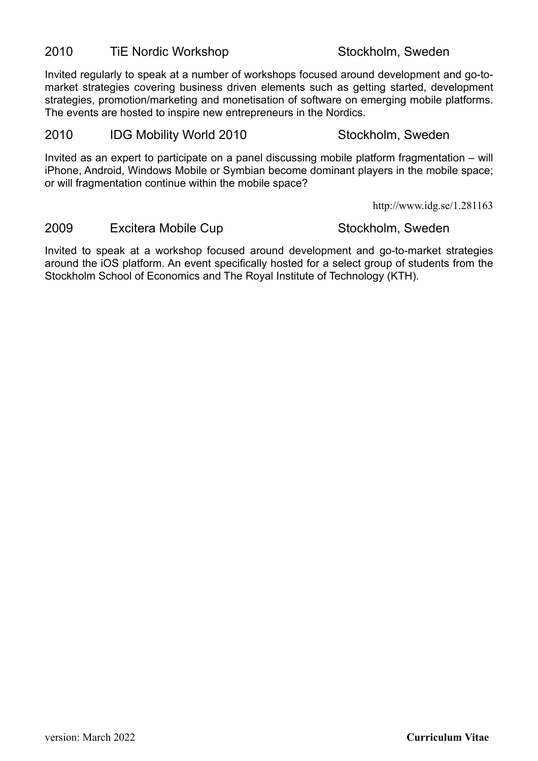### 2010 TiE Nordic Workshop Stockholm, Sweden

Invited regularly to speak at a number of workshops focused around development and go-tomarket strategies covering business driven elements such as getting started, development strategies, promotion/marketing and monetisation of software on emerging mobile platforms. The events are hosted to inspire new entrepreneurs in the Nordics.

#### 2010 IDG Mobility World 2010 Stockholm, Sweden

Invited as an expert to participate on a panel discussing mobile platform fragmentation – will iPhone, Android, Windows Mobile or Symbian become dominant players in the mobile space; or will fragmentation continue within the mobile space?

<http://www.idg.se/1.281163>

#### 2009 Excitera Mobile Cup **Stockholm, Sweden**

Invited to speak at a workshop focused around development and go-to-market strategies around the iOS platform. An event specifically hosted for a select group of students from the Stockholm School of Economics and The Royal Institute of Technology (KTH).